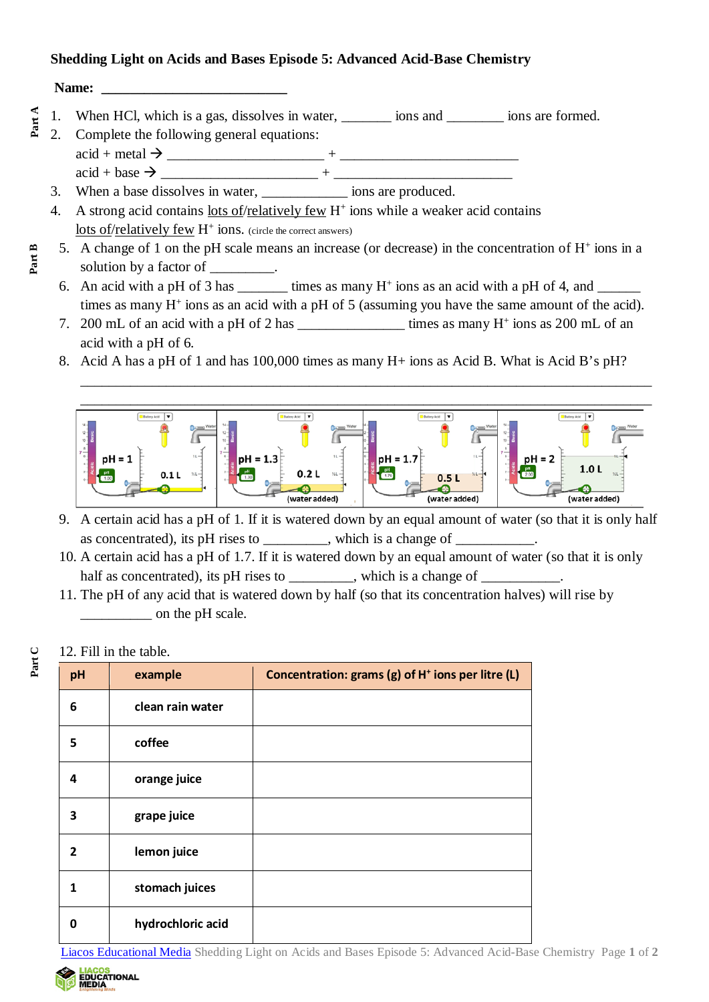## **Shedding Light on Acids and Bases Episode 5: Advanced Acid-Base Chemistry**

**Name: \_\_\_\_\_\_\_\_\_\_\_\_\_\_\_\_\_\_\_\_\_\_\_\_\_\_**

**Part B**

- 1. When HCl, which is a gas, dissolves in water, <u>\_\_\_\_\_</u> ions and \_\_\_\_\_\_\_\_ ions are formed.
- 2. Complete the following general equations:  $\text{acid} + \text{metal} \rightarrow$  $\text{acid} + \text{base} \rightarrow +$ **Part A**
	- 3. When a base dissolves in water, \_\_\_\_\_\_\_\_\_\_\_\_ ions are produced.
	- 4. A strong acid contains lots of/relatively few  $H^+$  ions while a weaker acid contains lots of/relatively few  $H^+$  ions. (circle the correct answers)
	- 5. A change of 1 on the pH scale means an increase (or decrease) in the concentration of  $H^+$  ions in a solution by a factor of
	- 6. An acid with a pH of 3 has \_\_\_\_\_\_\_\_ times as many  $H^+$  ions as an acid with a pH of 4, and times as many  $H^+$  ions as an acid with a pH of 5 (assuming you have the same amount of the acid).
	- 7. 200 mL of an acid with a pH of 2 has \_\_\_\_\_\_\_\_\_\_\_\_\_\_\_\_\_\_\_\_\_\_ times as many H<sup>+</sup> ions as 200 mL of an acid with a pH of 6.
	- 8. Acid A has a pH of 1 and has 100,000 times as many H+ ions as Acid B. What is Acid B's pH?



\_\_\_\_\_\_\_\_\_\_\_\_\_\_\_\_\_\_\_\_\_\_\_\_\_\_\_\_\_\_\_\_\_\_\_\_\_\_\_\_\_\_\_\_\_\_\_\_\_\_\_\_\_\_\_\_\_\_\_\_\_\_\_\_\_\_\_\_\_\_\_\_\_\_\_\_\_\_\_\_

- 9. A certain acid has a pH of 1. If it is watered down by an equal amount of water (so that it is only half as concentrated), its pH rises to \_\_\_\_\_\_\_\_, which is a change of \_
- 10. A certain acid has a pH of 1.7. If it is watered down by an equal amount of water (so that it is only half as concentrated), its pH rises to \_\_\_\_\_\_\_\_, which is a change of \_\_\_\_\_\_\_\_\_\_\_
- 11. The pH of any acid that is watered down by half (so that its concentration halves) will rise by on the pH scale.

## 12. Fill in the table.

**Part C**

| pH           | example           | Concentration: grams (g) of H <sup>+</sup> ions per litre (L) |
|--------------|-------------------|---------------------------------------------------------------|
| 6            | clean rain water  |                                                               |
| 5            | coffee            |                                                               |
| 4            | orange juice      |                                                               |
| 3            | grape juice       |                                                               |
| $\mathbf{2}$ | lemon juice       |                                                               |
|              | stomach juices    |                                                               |
| 0            | hydrochloric acid |                                                               |

[Liacos Educational Media](https://www.liacoseducationalmedia.com/) Shedding Light on Acids and Bases Episode 5: Advanced Acid-Base Chemistry Page **1** of **2**